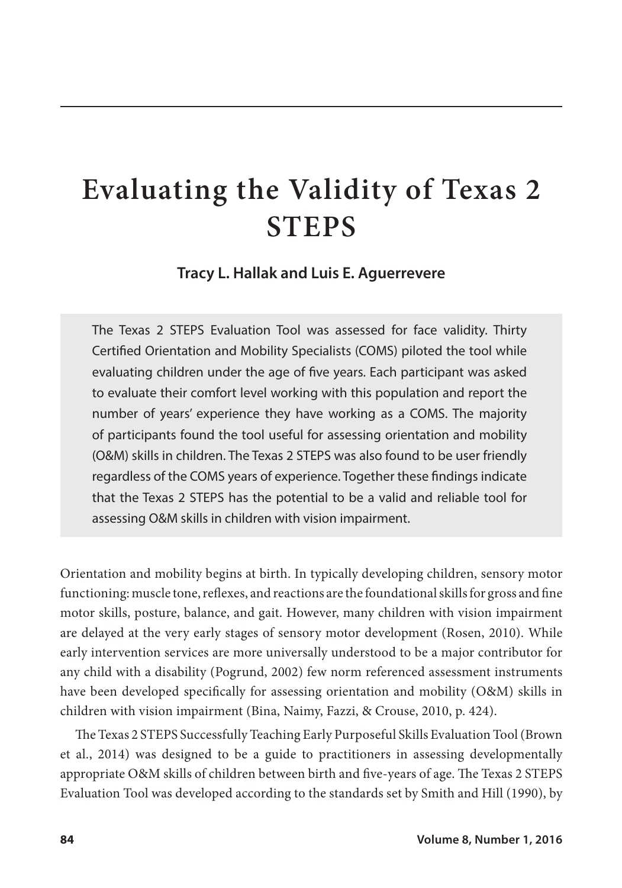# **Evaluating the Validity of Texas 2 STEPS**

**Tracy L. Hallak and Luis E. Aguerrevere**

The Texas 2 STEPS Evaluation Tool was assessed for face validity. Thirty Certified Orientation and Mobility Specialists (COMS) piloted the tool while evaluating children under the age of five years. Each participant was asked to evaluate their comfort level working with this population and report the number of years' experience they have working as a COMS. The majority of participants found the tool useful for assessing orientation and mobility (O&M) skills in children. The Texas 2 STEPS was also found to be user friendly regardless of the COMS years of experience. Together these findings indicate that the Texas 2 STEPS has the potential to be a valid and reliable tool for assessing O&M skills in children with vision impairment.

Orientation and mobility begins at birth. In typically developing children, sensory motor functioning: muscle tone, reflexes, and reactions are the foundational skills for gross and fine motor skills, posture, balance, and gait. However, many children with vision impairment are delayed at the very early stages of sensory motor development (Rosen, 2010). While early intervention services are more universally understood to be a major contributor for any child with a disability (Pogrund, 2002) few norm referenced assessment instruments have been developed specifically for assessing orientation and mobility (O&M) skills in children with vision impairment (Bina, Naimy, Fazzi, & Crouse, 2010, p. 424).

The Texas 2 STEPS Successfully Teaching Early Purposeful Skills Evaluation Tool (Brown et al., 2014) was designed to be a guide to practitioners in assessing developmentally appropriate O&M skills of children between birth and five-years of age. The Texas 2 STEPS Evaluation Tool was developed according to the standards set by Smith and Hill (1990), by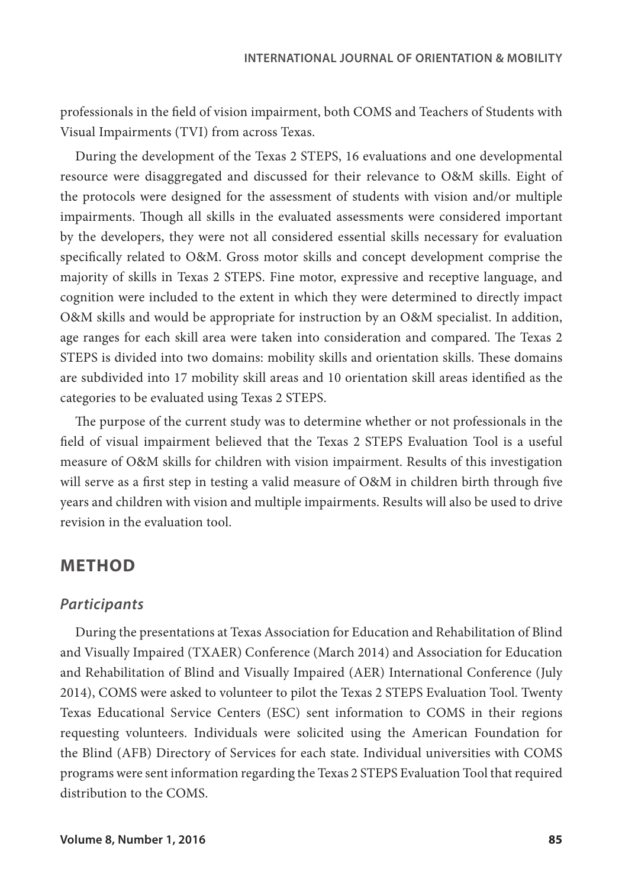professionals in the field of vision impairment, both COMS and Teachers of Students with Visual Impairments (TVI) from across Texas.

During the development of the Texas 2 STEPS, 16 evaluations and one developmental resource were disaggregated and discussed for their relevance to O&M skills. Eight of the protocols were designed for the assessment of students with vision and/or multiple impairments. Though all skills in the evaluated assessments were considered important by the developers, they were not all considered essential skills necessary for evaluation specifically related to O&M. Gross motor skills and concept development comprise the majority of skills in Texas 2 STEPS. Fine motor, expressive and receptive language, and cognition were included to the extent in which they were determined to directly impact O&M skills and would be appropriate for instruction by an O&M specialist. In addition, age ranges for each skill area were taken into consideration and compared. The Texas 2 STEPS is divided into two domains: mobility skills and orientation skills. These domains are subdivided into 17 mobility skill areas and 10 orientation skill areas identified as the categories to be evaluated using Texas 2 STEPS.

The purpose of the current study was to determine whether or not professionals in the field of visual impairment believed that the Texas 2 STEPS Evaluation Tool is a useful measure of O&M skills for children with vision impairment. Results of this investigation will serve as a first step in testing a valid measure of O&M in children birth through five years and children with vision and multiple impairments. Results will also be used to drive revision in the evaluation tool.

### **METHOD**

#### *Participants*

During the presentations at Texas Association for Education and Rehabilitation of Blind and Visually Impaired (TXAER) Conference (March 2014) and Association for Education and Rehabilitation of Blind and Visually Impaired (AER) International Conference (July 2014), COMS were asked to volunteer to pilot the Texas 2 STEPS Evaluation Tool. Twenty Texas Educational Service Centers (ESC) sent information to COMS in their regions requesting volunteers. Individuals were solicited using the American Foundation for the Blind (AFB) Directory of Services for each state. Individual universities with COMS programs were sent information regarding the Texas 2 STEPS Evaluation Tool that required distribution to the COMS.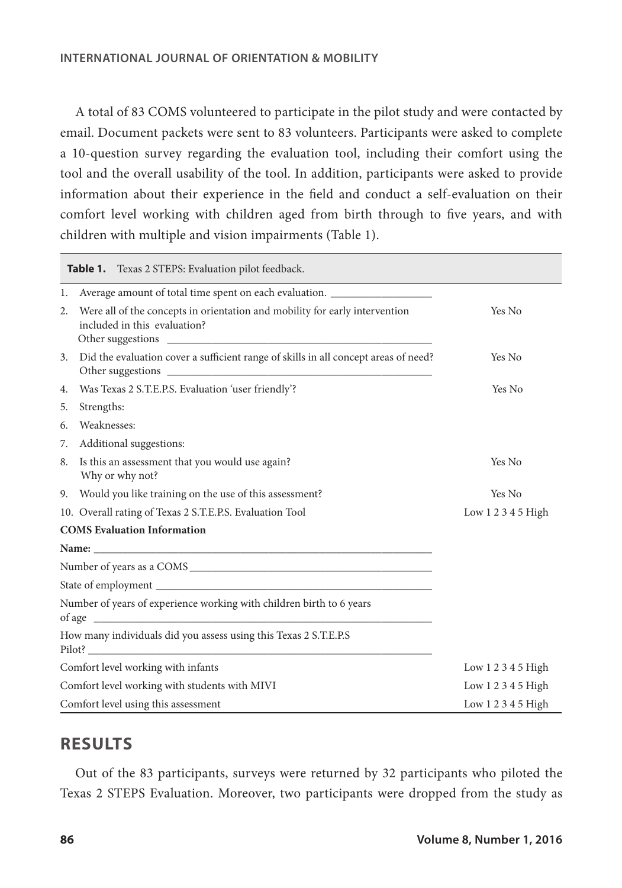A total of 83 COMS volunteered to participate in the pilot study and were contacted by email. Document packets were sent to 83 volunteers. Participants were asked to complete a 10-question survey regarding the evaluation tool, including their comfort using the tool and the overall usability of the tool. In addition, participants were asked to provide information about their experience in the field and conduct a self-evaluation on their comfort level working with children aged from birth through to five years, and with children with multiple and vision impairments (Table 1).

| Table 1. Texas 2 STEPS: Evaluation pilot feedback.                                    |                                                                                                             |                    |  |  |
|---------------------------------------------------------------------------------------|-------------------------------------------------------------------------------------------------------------|--------------------|--|--|
| 1.                                                                                    | Average amount of total time spent on each evaluation. _________________________                            |                    |  |  |
| 2.                                                                                    | Were all of the concepts in orientation and mobility for early intervention<br>included in this evaluation? | Yes No             |  |  |
|                                                                                       | 3. Did the evaluation cover a sufficient range of skills in all concept areas of need?                      | Yes No             |  |  |
| 4.                                                                                    | Was Texas 2 S.T.E.P.S. Evaluation 'user friendly'?                                                          | Yes No             |  |  |
| 5.                                                                                    | Strengths:                                                                                                  |                    |  |  |
| 6.                                                                                    | Weaknesses:                                                                                                 |                    |  |  |
| 7.                                                                                    | Additional suggestions:                                                                                     |                    |  |  |
| 8.                                                                                    | Is this an assessment that you would use again?<br>Why or why not?                                          | Yes No             |  |  |
|                                                                                       | 9. Would you like training on the use of this assessment?                                                   | Yes No             |  |  |
|                                                                                       | 10. Overall rating of Texas 2 S.T.E.P.S. Evaluation Tool                                                    | Low 1 2 3 4 5 High |  |  |
| <b>COMS</b> Evaluation Information                                                    |                                                                                                             |                    |  |  |
|                                                                                       |                                                                                                             |                    |  |  |
|                                                                                       |                                                                                                             |                    |  |  |
|                                                                                       |                                                                                                             |                    |  |  |
| Number of years of experience working with children birth to 6 years<br>of age $\Box$ |                                                                                                             |                    |  |  |
| How many individuals did you assess using this Texas 2 S.T.E.P.S                      |                                                                                                             |                    |  |  |
|                                                                                       | Comfort level working with infants                                                                          | Low $12345$ High   |  |  |
| Comfort level working with students with MIVI                                         |                                                                                                             | Low 1 2 3 4 5 High |  |  |
|                                                                                       | Comfort level using this assessment                                                                         | Low 1 2 3 4 5 High |  |  |

# **RESULTS**

Out of the 83 participants, surveys were returned by 32 participants who piloted the Texas 2 STEPS Evaluation. Moreover, two participants were dropped from the study as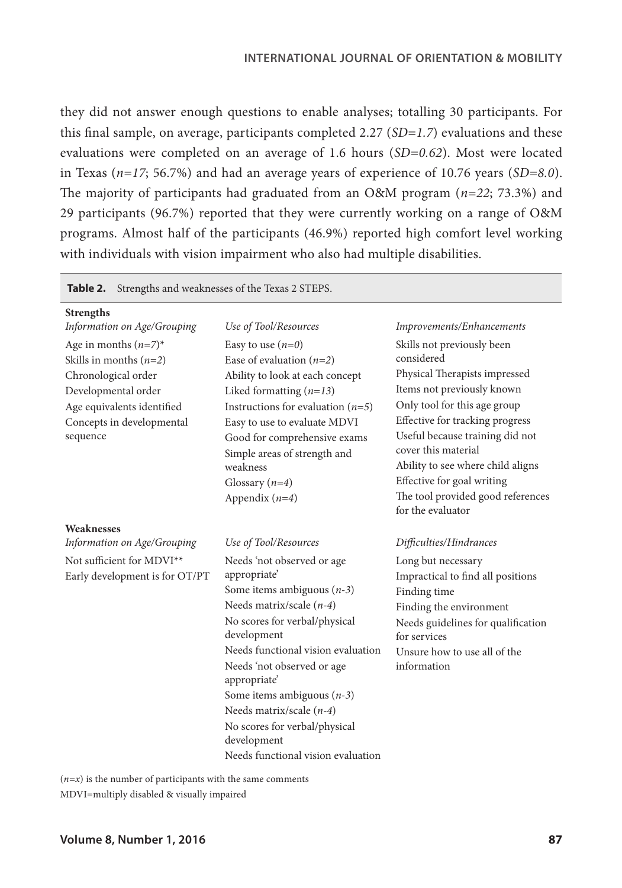they did not answer enough questions to enable analyses; totalling 30 participants. For this final sample, on average, participants completed 2.27 (*SD=1.7*) evaluations and these evaluations were completed on an average of 1.6 hours (*SD=0.62*). Most were located in Texas (*n=17*; 56.7%) and had an average years of experience of 10.76 years (*SD=8.0*). The majority of participants had graduated from an O&M program (*n=22*; 73.3%) and 29 participants (96.7%) reported that they were currently working on a range of O&M programs. Almost half of the participants (46.9%) reported high comfort level working with individuals with vision impairment who also had multiple disabilities.

| Table 2. Strengths and weaknesses of the Texas 2 STEPS.                                                                                                                  |                                                                                                                                                                                                                                                                                                                                                                                                  |                                                                                                                                                                                                                                                                                                                                                                   |  |  |
|--------------------------------------------------------------------------------------------------------------------------------------------------------------------------|--------------------------------------------------------------------------------------------------------------------------------------------------------------------------------------------------------------------------------------------------------------------------------------------------------------------------------------------------------------------------------------------------|-------------------------------------------------------------------------------------------------------------------------------------------------------------------------------------------------------------------------------------------------------------------------------------------------------------------------------------------------------------------|--|--|
| Strengths                                                                                                                                                                |                                                                                                                                                                                                                                                                                                                                                                                                  |                                                                                                                                                                                                                                                                                                                                                                   |  |  |
| Information on Age/Grouping                                                                                                                                              | Use of Tool/Resources                                                                                                                                                                                                                                                                                                                                                                            | Improvements/Enhancements                                                                                                                                                                                                                                                                                                                                         |  |  |
| Age in months $(n=7)^*$<br>Skills in months $(n=2)$<br>Chronological order<br>Developmental order<br>Age equivalents identified<br>Concepts in developmental<br>sequence | Easy to use $(n=0)$<br>Ease of evaluation $(n=2)$<br>Ability to look at each concept<br>Liked formatting $(n=13)$<br>Instructions for evaluation $(n=5)$<br>Easy to use to evaluate MDVI<br>Good for comprehensive exams<br>Simple areas of strength and<br>weakness<br>Glossary $(n=4)$<br>Appendix $(n=4)$                                                                                     | Skills not previously been<br>considered<br>Physical Therapists impressed<br>Items not previously known<br>Only tool for this age group<br>Effective for tracking progress<br>Useful because training did not<br>cover this material<br>Ability to see where child aligns<br>Effective for goal writing<br>The tool provided good references<br>for the evaluator |  |  |
| Weaknesses                                                                                                                                                               |                                                                                                                                                                                                                                                                                                                                                                                                  |                                                                                                                                                                                                                                                                                                                                                                   |  |  |
| Information on Age/Grouping                                                                                                                                              | Use of Tool/Resources                                                                                                                                                                                                                                                                                                                                                                            | Difficulties/Hindrances                                                                                                                                                                                                                                                                                                                                           |  |  |
| Not sufficient for MDVI**<br>Early development is for OT/PT                                                                                                              | Needs 'not observed or age<br>appropriate'<br>Some items ambiguous $(n-3)$<br>Needs matrix/scale $(n-4)$<br>No scores for verbal/physical<br>development<br>Needs functional vision evaluation<br>Needs 'not observed or age<br>appropriate'<br>Some items ambiguous $(n-3)$<br>Needs matrix/scale $(n-4)$<br>No scores for verbal/physical<br>development<br>Needs functional vision evaluation | Long but necessary<br>Impractical to find all positions<br>Finding time<br>Finding the environment<br>Needs guidelines for qualification<br>for services<br>Unsure how to use all of the<br>information                                                                                                                                                           |  |  |

 $(n=x)$  is the number of participants with the same comments MDVI=multiply disabled & visually impaired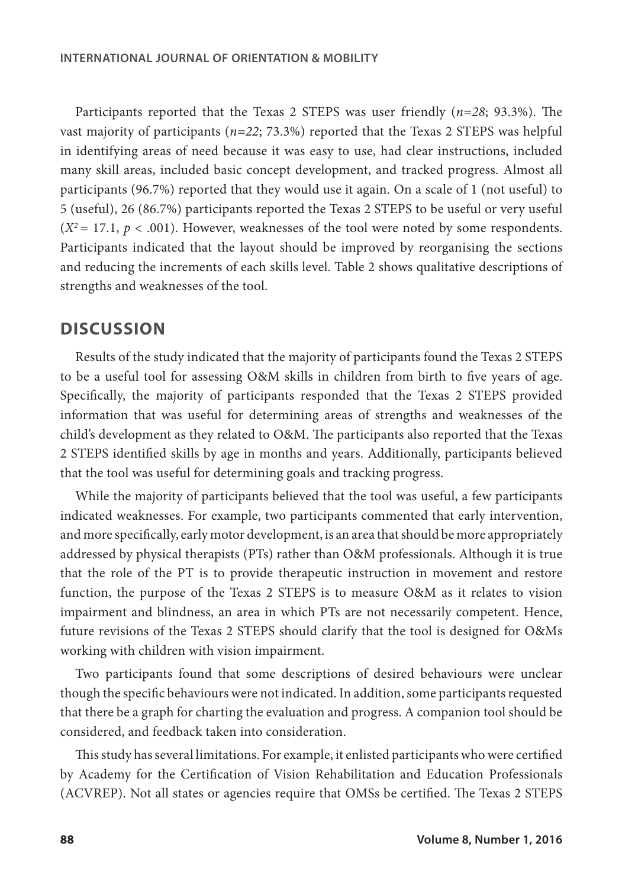Participants reported that the Texas 2 STEPS was user friendly (*n=28*; 93.3%). The vast majority of participants (*n=22*; 73.3%) reported that the Texas 2 STEPS was helpful in identifying areas of need because it was easy to use, had clear instructions, included many skill areas, included basic concept development, and tracked progress. Almost all participants (96.7%) reported that they would use it again. On a scale of 1 (not useful) to 5 (useful), 26 (86.7%) participants reported the Texas 2 STEPS to be useful or very useful  $(X^2 = 17.1, p < .001)$ . However, weaknesses of the tool were noted by some respondents. Participants indicated that the layout should be improved by reorganising the sections and reducing the increments of each skills level. Table 2 shows qualitative descriptions of strengths and weaknesses of the tool.

### **DISCUSSION**

Results of the study indicated that the majority of participants found the Texas 2 STEPS to be a useful tool for assessing O&M skills in children from birth to five years of age. Specifically, the majority of participants responded that the Texas 2 STEPS provided information that was useful for determining areas of strengths and weaknesses of the child's development as they related to O&M. The participants also reported that the Texas 2 STEPS identified skills by age in months and years. Additionally, participants believed that the tool was useful for determining goals and tracking progress.

While the majority of participants believed that the tool was useful, a few participants indicated weaknesses. For example, two participants commented that early intervention, and more specifically, early motor development, is an area that should be more appropriately addressed by physical therapists (PTs) rather than O&M professionals. Although it is true that the role of the PT is to provide therapeutic instruction in movement and restore function, the purpose of the Texas 2 STEPS is to measure O&M as it relates to vision impairment and blindness, an area in which PTs are not necessarily competent. Hence, future revisions of the Texas 2 STEPS should clarify that the tool is designed for O&Ms working with children with vision impairment.

Two participants found that some descriptions of desired behaviours were unclear though the specific behaviours were not indicated. In addition, some participants requested that there be a graph for charting the evaluation and progress. A companion tool should be considered, and feedback taken into consideration.

This study has several limitations. For example, it enlisted participants who were certified by Academy for the Certification of Vision Rehabilitation and Education Professionals (ACVREP). Not all states or agencies require that OMSs be certified. The Texas 2 STEPS